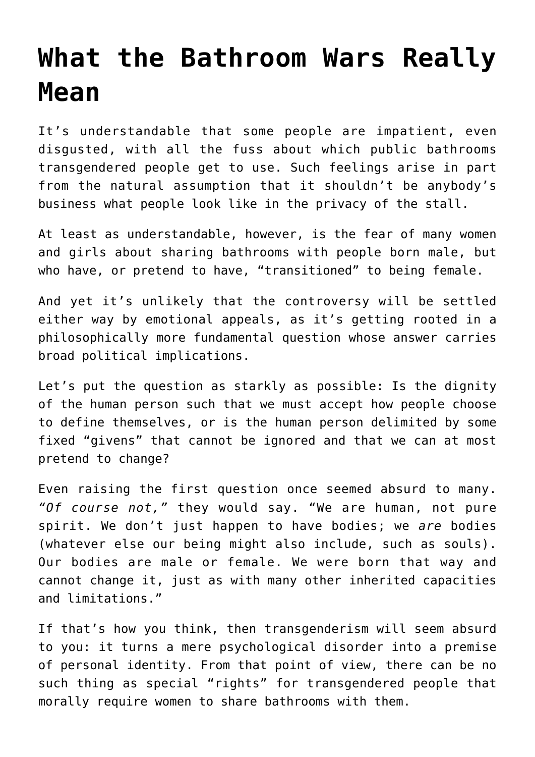## **[What the Bathroom Wars Really](https://intellectualtakeout.org/2016/04/what-the-bathroom-wars-really-mean/) [Mean](https://intellectualtakeout.org/2016/04/what-the-bathroom-wars-really-mean/)**

It's understandable that some people are impatient, even disgusted, with all the fuss about which public bathrooms transgendered people get to use. Such feelings arise in part from the natural assumption that it shouldn't be anybody's business what people look like in the privacy of the stall.

At least as understandable, however, is the fear of many women and girls about sharing bathrooms with people born male, but who have, or pretend to have, "transitioned" to being female.

And yet it's unlikely that the controversy will be settled either way by emotional appeals, as it's getting rooted in a philosophically more fundamental question whose answer carries broad political implications.

Let's put the question as starkly as possible: Is the dignity of the human person such that we must accept how people choose to define themselves, or is the human person delimited by some fixed "givens" that cannot be ignored and that we can at most pretend to change?

Even raising the first question once seemed absurd to many. *"Of course not,"* they would say. "We are human, not pure spirit. We don't just happen to have bodies; we *are* bodies (whatever else our being might also include, such as souls). Our bodies are male or female. We were born that way and cannot change it, just as with many other inherited capacities and limitations."

If that's how you think, then transgenderism will seem absurd to you: it turns a mere psychological disorder into a premise of personal identity. From that point of view, there can be no such thing as special "rights" for transgendered people that morally require women to share bathrooms with them.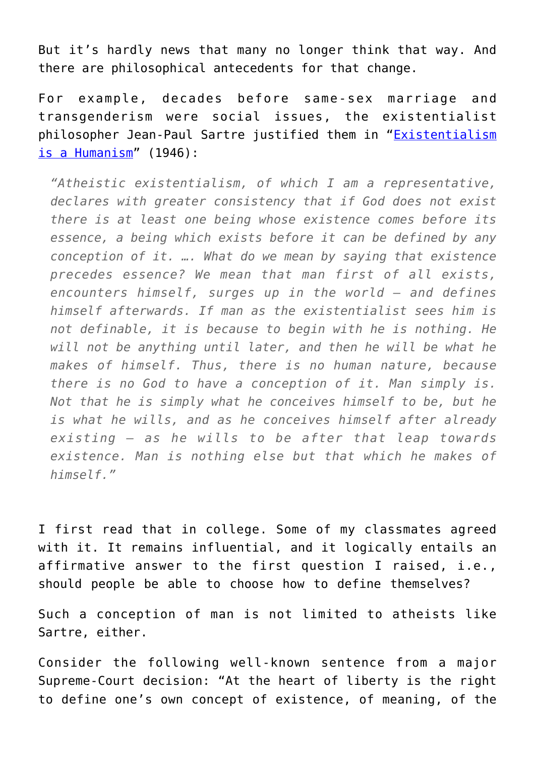But it's hardly news that many no longer think that way. And there are philosophical antecedents for that change.

For example, decades before same-sex marriage and transgenderism were social issues, the existentialist philosopher Jean-Paul Sartre justified them in "[Existentialism](http://homepages.wmich.edu/~baldner/existentialism.pdf) [is a Humanism](http://homepages.wmich.edu/~baldner/existentialism.pdf)"  $(1946)$ :

*"Atheistic existentialism, of which I am a representative, declares with greater consistency that if God does not exist there is at least one being whose existence comes before its essence, a being which exists before it can be defined by any conception of it. …. What do we mean by saying that existence precedes essence? We mean that man first of all exists, encounters himself, surges up in the world – and defines himself afterwards. If man as the existentialist sees him is not definable, it is because to begin with he is nothing. He will not be anything until later, and then he will be what he makes of himself. Thus, there is no human nature, because there is no God to have a conception of it. Man simply is. Not that he is simply what he conceives himself to be, but he is what he wills, and as he conceives himself after already existing – as he wills to be after that leap towards existence. Man is nothing else but that which he makes of himself."* 

I first read that in college. Some of my classmates agreed with it. It remains influential, and it logically entails an affirmative answer to the first question I raised, i.e., should people be able to choose how to define themselves?

Such a conception of man is not limited to atheists like Sartre, either.

Consider the following well-known sentence from a major Supreme-Court decision: "At the heart of liberty is the right to define one's own concept of existence, of meaning, of the